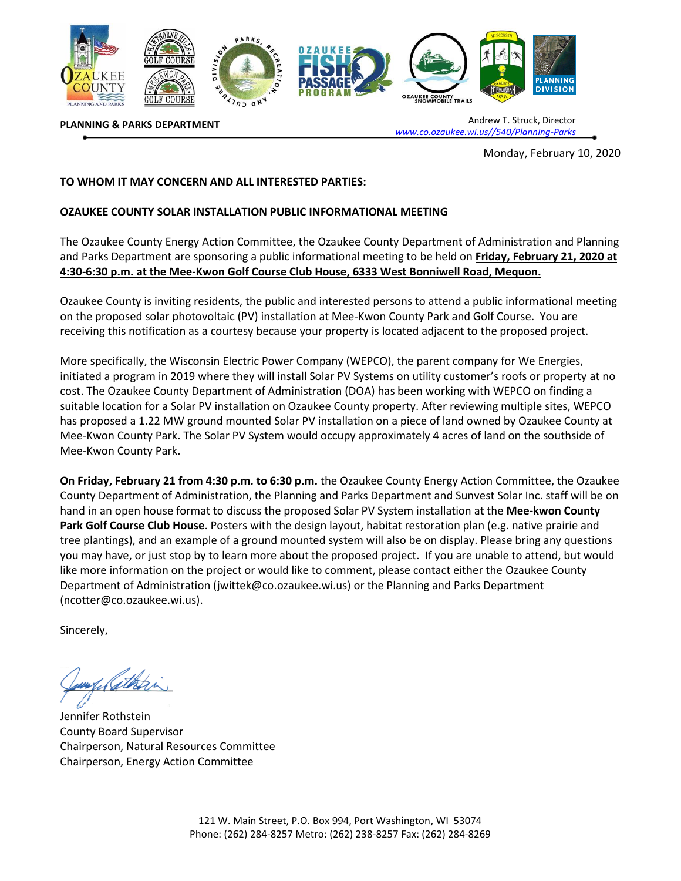

**PLANNING & PARKS DEPARTMENT**

Andrew T. Struck, Director *[www.co.ozaukee.wi.us//540/Planning-Parks](http://www.co.ozaukee.wi.us/540/Planning-Parks)*

Monday, February 10, 2020

## **TO WHOM IT MAY CONCERN AND ALL INTERESTED PARTIES:**

## **OZAUKEE COUNTY SOLAR INSTALLATION PUBLIC INFORMATIONAL MEETING**

The Ozaukee County Energy Action Committee, the Ozaukee County Department of Administration and Planning and Parks Department are sponsoring a public informational meeting to be held on **Friday, February 21, 2020 at 4:30-6:30 p.m. at the Mee-Kwon Golf Course Club House, 6333 West Bonniwell Road, Mequon.** 

Ozaukee County is inviting residents, the public and interested persons to attend a public informational meeting on the proposed solar photovoltaic (PV) installation at Mee-Kwon County Park and Golf Course. You are receiving this notification as a courtesy because your property is located adjacent to the proposed project.

More specifically, the Wisconsin Electric Power Company (WEPCO), the parent company for We Energies, initiated a program in 2019 where they will install Solar PV Systems on utility customer's roofs or property at no cost. The Ozaukee County Department of Administration (DOA) has been working with WEPCO on finding a suitable location for a Solar PV installation on Ozaukee County property. After reviewing multiple sites, WEPCO has proposed a 1.22 MW ground mounted Solar PV installation on a piece of land owned by Ozaukee County at Mee-Kwon County Park. The Solar PV System would occupy approximately 4 acres of land on the southside of Mee-Kwon County Park.

**On Friday, February 21 from 4:30 p.m. to 6:30 p.m.** the Ozaukee County Energy Action Committee, the Ozaukee County Department of Administration, the Planning and Parks Department and Sunvest Solar Inc. staff will be on hand in an open house format to discuss the proposed Solar PV System installation at the **Mee-kwon County Park Golf Course Club House**. Posters with the design layout, habitat restoration plan (e.g. native prairie and tree plantings), and an example of a ground mounted system will also be on display. Please bring any questions you may have, or just stop by to learn more about the proposed project. If you are unable to attend, but would like more information on the project or would like to comment, please contact either the Ozaukee County Department of Administration (jwittek@co.ozaukee.wi.us) or the Planning and Parks Department (ncotter@co.ozaukee.wi.us).

Sincerely,

Jennifer Rothstein County Board Supervisor Chairperson, Natural Resources Committee Chairperson, Energy Action Committee